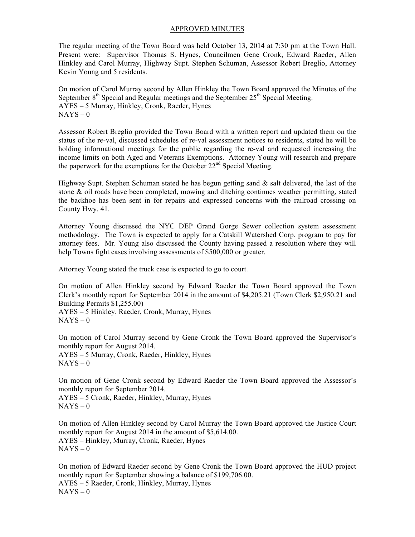### APPROVED MINUTES

The regular meeting of the Town Board was held October 13, 2014 at 7:30 pm at the Town Hall. Present were: Supervisor Thomas S. Hynes, Councilmen Gene Cronk, Edward Raeder, Allen Hinkley and Carol Murray, Highway Supt. Stephen Schuman, Assessor Robert Breglio, Attorney Kevin Young and 5 residents.

On motion of Carol Murray second by Allen Hinkley the Town Board approved the Minutes of the September  $8<sup>th</sup>$  Special and Regular meetings and the September  $25<sup>th</sup>$  Special Meeting. AYES – 5 Murray, Hinkley, Cronk, Raeder, Hynes  $NAYS - 0$ 

Assessor Robert Breglio provided the Town Board with a written report and updated them on the status of the re-val, discussed schedules of re-val assessment notices to residents, stated he will be holding informational meetings for the public regarding the re-val and requested increasing the income limits on both Aged and Veterans Exemptions. Attorney Young will research and prepare the paperwork for the exemptions for the October 22<sup>nd</sup> Special Meeting.

Highway Supt. Stephen Schuman stated he has begun getting sand  $\&$  salt delivered, the last of the stone & oil roads have been completed, mowing and ditching continues weather permitting, stated the backhoe has been sent in for repairs and expressed concerns with the railroad crossing on County Hwy. 41.

Attorney Young discussed the NYC DEP Grand Gorge Sewer collection system assessment methodology. The Town is expected to apply for a Catskill Watershed Corp. program to pay for attorney fees. Mr. Young also discussed the County having passed a resolution where they will help Towns fight cases involving assessments of \$500,000 or greater.

Attorney Young stated the truck case is expected to go to court.

On motion of Allen Hinkley second by Edward Raeder the Town Board approved the Town Clerk's monthly report for September 2014 in the amount of \$4,205.21 (Town Clerk \$2,950.21 and Building Permits \$1,255.00) AYES – 5 Hinkley, Raeder, Cronk, Murray, Hynes  $NAYS - 0$ 

On motion of Carol Murray second by Gene Cronk the Town Board approved the Supervisor's monthly report for August 2014. AYES – 5 Murray, Cronk, Raeder, Hinkley, Hynes

 $NAYS - 0$ 

On motion of Gene Cronk second by Edward Raeder the Town Board approved the Assessor's monthly report for September 2014.

AYES – 5 Cronk, Raeder, Hinkley, Murray, Hynes  $NAYS - 0$ 

On motion of Allen Hinkley second by Carol Murray the Town Board approved the Justice Court monthly report for August 2014 in the amount of \$5,614.00. AYES – Hinkley, Murray, Cronk, Raeder, Hynes  $NAYS - 0$ 

On motion of Edward Raeder second by Gene Cronk the Town Board approved the HUD project monthly report for September showing a balance of \$199,706.00. AYES – 5 Raeder, Cronk, Hinkley, Murray, Hynes  $NAYS - 0$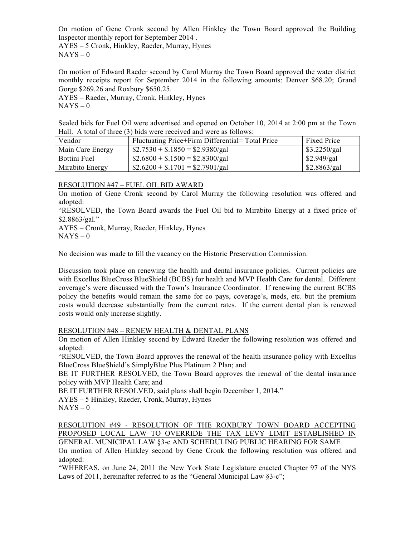On motion of Gene Cronk second by Allen Hinkley the Town Board approved the Building Inspector monthly report for September 2014 .

AYES – 5 Cronk, Hinkley, Raeder, Murray, Hynes  $NAYS - 0$ 

On motion of Edward Raeder second by Carol Murray the Town Board approved the water district monthly receipts report for September 2014 in the following amounts: Denver \$68.20; Grand Gorge \$269.26 and Roxbury \$650.25.

AYES – Raeder, Murray, Cronk, Hinkley, Hynes

 $NAYS - 0$ 

Sealed bids for Fuel Oil were advertised and opened on October 10, 2014 at 2:00 pm at the Town Hall. A total of three (3) bids were received and were as follows:

| Vendor           | Fluctuating Price+Firm Differential= Total Price | Fixed Price  |
|------------------|--------------------------------------------------|--------------|
| Main Care Energy | $$2.7530 + $.1850 = $2.9380/gal$                 | \$3.2250/gal |
| Bottini Fuel     | $$2.6800 + $.1500 = $2.8300/gal$                 | \$2.949/gal  |
| Mirabito Energy  | $$2.6200 + $.1701 = $2.7901/gal$                 | \$2.8863/gal |

# RESOLUTION #47 – FUEL OIL BID AWARD

On motion of Gene Cronk second by Carol Murray the following resolution was offered and adopted:

"RESOLVED, the Town Board awards the Fuel Oil bid to Mirabito Energy at a fixed price of \$2.8863/gal."

AYES – Cronk, Murray, Raeder, Hinkley, Hynes  $NAYS - 0$ 

No decision was made to fill the vacancy on the Historic Preservation Commission.

Discussion took place on renewing the health and dental insurance policies. Current policies are with Excellus BlueCross BlueShield (BCBS) for health and MVP Health Care for dental. Different coverage's were discussed with the Town's Insurance Coordinator. If renewing the current BCBS policy the benefits would remain the same for co pays, coverage's, meds, etc. but the premium costs would decrease substantially from the current rates. If the current dental plan is renewed costs would only increase slightly.

## RESOLUTION #48 – RENEW HEALTH & DENTAL PLANS

On motion of Allen Hinkley second by Edward Raeder the following resolution was offered and adopted:

"RESOLVED, the Town Board approves the renewal of the health insurance policy with Excellus BlueCross BlueShield's SimplyBlue Plus Platinum 2 Plan; and

BE IT FURTHER RESOLVED, the Town Board approves the renewal of the dental insurance policy with MVP Health Care; and

BE IT FURTHER RESOLVED, said plans shall begin December 1, 2014."

AYES – 5 Hinkley, Raeder, Cronk, Murray, Hynes

 $NAYS - 0$ 

RESOLUTION #49 - RESOLUTION OF THE ROXBURY TOWN BOARD ACCEPTING PROPOSED LOCAL LAW TO OVERRIDE THE TAX LEVY LIMIT ESTABLISHED IN GENERAL MUNICIPAL LAW §3-c AND SCHEDULING PUBLIC HEARING FOR SAME

On motion of Allen Hinkley second by Gene Cronk the following resolution was offered and adopted:

"WHEREAS, on June 24, 2011 the New York State Legislature enacted Chapter 97 of the NYS Laws of 2011, hereinafter referred to as the "General Municipal Law §3-c";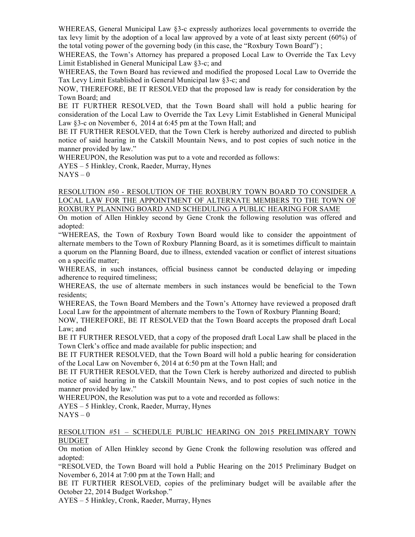WHEREAS, General Municipal Law §3-c expressly authorizes local governments to override the tax levy limit by the adoption of a local law approved by a vote of at least sixty percent (60%) of the total voting power of the governing body (in this case, the "Roxbury Town Board") ;

WHEREAS, the Town's Attorney has prepared a proposed Local Law to Override the Tax Levy Limit Established in General Municipal Law §3-c; and

WHEREAS, the Town Board has reviewed and modified the proposed Local Law to Override the Tax Levy Limit Established in General Municipal law §3-c; and

NOW, THEREFORE, BE IT RESOLVED that the proposed law is ready for consideration by the Town Board; and

BE IT FURTHER RESOLVED, that the Town Board shall will hold a public hearing for consideration of the Local Law to Override the Tax Levy Limit Established in General Municipal Law §3-c on November 6, 2014 at 6:45 pm at the Town Hall; and

BE IT FURTHER RESOLVED, that the Town Clerk is hereby authorized and directed to publish notice of said hearing in the Catskill Mountain News, and to post copies of such notice in the manner provided by law."

WHEREUPON, the Resolution was put to a vote and recorded as follows:

AYES – 5 Hinkley, Cronk, Raeder, Murray, Hynes

 $NAYS - 0$ 

RESOLUTION #50 - RESOLUTION OF THE ROXBURY TOWN BOARD TO CONSIDER A LOCAL LAW FOR THE APPOINTMENT OF ALTERNATE MEMBERS TO THE TOWN OF ROXBURY PLANNING BOARD AND SCHEDULING A PUBLIC HEARING FOR SAME

On motion of Allen Hinkley second by Gene Cronk the following resolution was offered and adopted:

"WHEREAS, the Town of Roxbury Town Board would like to consider the appointment of alternate members to the Town of Roxbury Planning Board, as it is sometimes difficult to maintain a quorum on the Planning Board, due to illness, extended vacation or conflict of interest situations on a specific matter;

WHEREAS, in such instances, official business cannot be conducted delaying or impeding adherence to required timeliness;

WHEREAS, the use of alternate members in such instances would be beneficial to the Town residents;

WHEREAS, the Town Board Members and the Town's Attorney have reviewed a proposed draft Local Law for the appointment of alternate members to the Town of Roxbury Planning Board;

NOW, THEREFORE, BE IT RESOLVED that the Town Board accepts the proposed draft Local Law; and

BE IT FURTHER RESOLVED, that a copy of the proposed draft Local Law shall be placed in the Town Clerk's office and made available for public inspection; and

BE IT FURTHER RESOLVED, that the Town Board will hold a public hearing for consideration of the Local Law on November 6, 2014 at 6:50 pm at the Town Hall; and

BE IT FURTHER RESOLVED, that the Town Clerk is hereby authorized and directed to publish notice of said hearing in the Catskill Mountain News, and to post copies of such notice in the manner provided by law."

WHEREUPON, the Resolution was put to a vote and recorded as follows:

AYES – 5 Hinkley, Cronk, Raeder, Murray, Hynes  $NAYS - 0$ 

### RESOLUTION #51 – SCHEDULE PUBLIC HEARING ON 2015 PRELIMINARY TOWN BUDGET

On motion of Allen Hinkley second by Gene Cronk the following resolution was offered and adopted:

"RESOLVED, the Town Board will hold a Public Hearing on the 2015 Preliminary Budget on November 6, 2014 at 7:00 pm at the Town Hall; and

BE IT FURTHER RESOLVED, copies of the preliminary budget will be available after the October 22, 2014 Budget Workshop."

AYES – 5 Hinkley, Cronk, Raeder, Murray, Hynes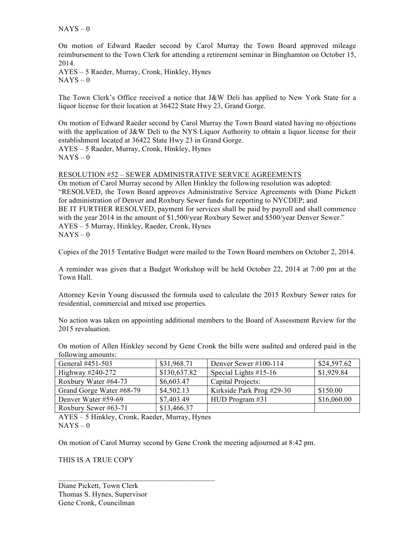$NAYS - 0$ 

On motion of Edward Raeder second by Carol Murray the Town Board approved mileage reimbursement to the Town Clerk for attending a retirement seminar in Binghamton on October 15, 2014.

AYES – 5 Raeder, Murray, Cronk, Hinkley, Hynes  $NAYS - 0$ 

The Town Clerk's Office received a notice that J&W Deli has applied to New York State for a liquor license for their location at 36422 State Hwy 23, Grand Gorge.

On motion of Edward Raeder second by Carol Murray the Town Board stated having no objections with the application of J&W Deli to the NYS Liquor Authority to obtain a liquor license for their establishment located at 36422 State Hwy 23 in Grand Gorge. AYES – 5 Raeder, Murray, Cronk, Hinkley, Hynes  $NAYS - 0$ 

### RESOLUTION #52 – SEWER ADMINISTRATIVE SERVICE AGREEMENTS

On motion of Carol Murray second by Allen Hinkley the following resolution was adopted: "RESOLVED, the Town Board approves Administrative Service Agreements with Diane Pickett for administration of Denver and Roxbury Sewer funds for reporting to NYCDEP; and BE IT FURTHER RESOLVED, payment for services shall be paid by payroll and shall commence with the year 2014 in the amount of \$1,500/year Roxbury Sewer and \$500/year Denver Sewer." AYES – 5 Murray, Hinkley, Raeder, Cronk, Hynes  $NAYS - 0$ 

Copies of the 2015 Tentative Budget were mailed to the Town Board members on October 2, 2014.

A reminder was given that a Budget Workshop will be held October 22, 2014 at 7:00 pm at the Town Hall.

Attorney Kevin Young discussed the formula used to calculate the 2015 Roxbury Sewer rates for residential, commercial and mixed use properties.

No action was taken on appointing additional members to the Board of Assessment Review for the 2015 revaluation.

On motion of Allen Hinkley second by Gene Cronk the bills were audited and ordered paid in the following amounts:

| General #451-503         | \$31,968.71  | Denver Sewer $\#100-114$  | \$24,597.62 |
|--------------------------|--------------|---------------------------|-------------|
| Highway $\#240-272$      | \$130,637.82 | Special Lights $#15-16$   | \$1,929.84  |
| Roxbury Water #64-73     | \$6,603.47   | Capital Projects:         |             |
| Grand Gorge Water #68-79 | \$4,502.13   | Kirkside Park Prog #29-30 | \$150.00    |
| Denver Water #59-69      | \$7,403.49   | HUD Program #31           | \$16,060.00 |
| Roxbury Sewer #63-71     | \$13,466.37  |                           |             |

AYES – 5 Hinkley, Cronk, Raeder, Murray, Hynes  $NAYS - 0$ 

 $\mathcal{L}_\text{max} = \mathcal{L}_\text{max} = \mathcal{L}_\text{max} = \mathcal{L}_\text{max} = \mathcal{L}_\text{max} = \mathcal{L}_\text{max}$ 

On motion of Carol Murray second by Gene Cronk the meeting adjourned at 8:42 pm.

THIS IS A TRUE COPY

Diane Pickett, Town Clerk Thomas S. Hynes, Supervisor Gene Cronk, Councilman